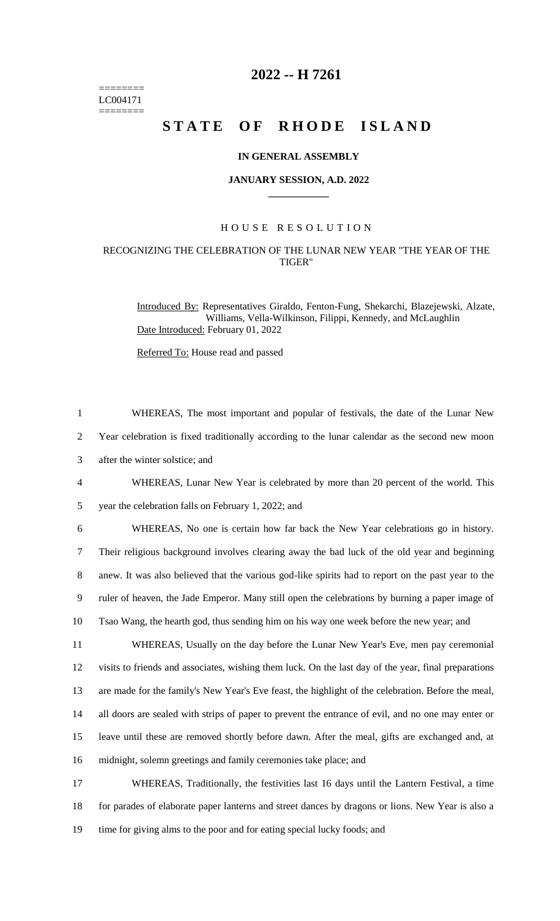======== LC004171 ========

# **2022 -- H 7261**

# **STATE OF RHODE ISLAND**

#### **IN GENERAL ASSEMBLY**

#### **JANUARY SESSION, A.D. 2022 \_\_\_\_\_\_\_\_\_\_\_\_**

## H O U S E R E S O L U T I O N

### RECOGNIZING THE CELEBRATION OF THE LUNAR NEW YEAR "THE YEAR OF THE TIGER"

Introduced By: Representatives Giraldo, Fenton-Fung, Shekarchi, Blazejewski, Alzate, Williams, Vella-Wilkinson, Filippi, Kennedy, and McLaughlin Date Introduced: February 01, 2022

Referred To: House read and passed

| $\mathbf{1}$   | WHEREAS, The most important and popular of festivals, the date of the Lunar New                      |
|----------------|------------------------------------------------------------------------------------------------------|
| $\overline{2}$ | Year celebration is fixed traditionally according to the lunar calendar as the second new moon       |
| 3              | after the winter solstice; and                                                                       |
| $\overline{4}$ | WHEREAS, Lunar New Year is celebrated by more than 20 percent of the world. This                     |
| 5              | year the celebration falls on February 1, 2022; and                                                  |
| 6              | WHEREAS, No one is certain how far back the New Year celebrations go in history.                     |
| $\tau$         | Their religious background involves clearing away the bad luck of the old year and beginning         |
| 8              | anew. It was also believed that the various god-like spirits had to report on the past year to the   |
| 9              | ruler of heaven, the Jade Emperor. Many still open the celebrations by burning a paper image of      |
| 10             | Tsao Wang, the hearth god, thus sending him on his way one week before the new year; and             |
| 11             | WHEREAS, Usually on the day before the Lunar New Year's Eve, men pay ceremonial                      |
| 12             | visits to friends and associates, wishing them luck. On the last day of the year, final preparations |
| 13             | are made for the family's New Year's Eve feast, the highlight of the celebration. Before the meal,   |
| 14             | all doors are sealed with strips of paper to prevent the entrance of evil, and no one may enter or   |
| 15             | leave until these are removed shortly before dawn. After the meal, gifts are exchanged and, at       |
| 16             | midnight, solemn greetings and family ceremonies take place; and                                     |
| 17             | WHEREAS, Traditionally, the festivities last 16 days until the Lantern Festival, a time              |
| 18             | for parades of elaborate paper lanterns and street dances by dragons or lions. New Year is also a    |
| 19             | time for giving alms to the poor and for eating special lucky foods; and                             |